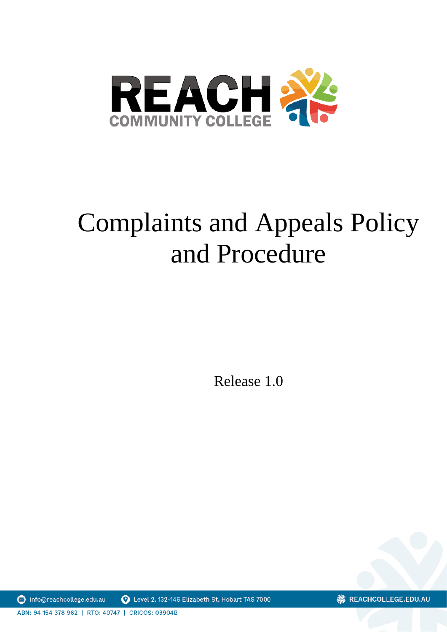

# Complaints and Appeals Policy and Procedure

Release 1.0

nfo@reachcollege.edu.au Level 2, 132-146 Elizabeth St, Hobart TAS 7000 **※ REACHCOLLEGE.EDU.AU** 

ABN: 94 154 378 962 | RTO: 40747 | CRICOS: 03904B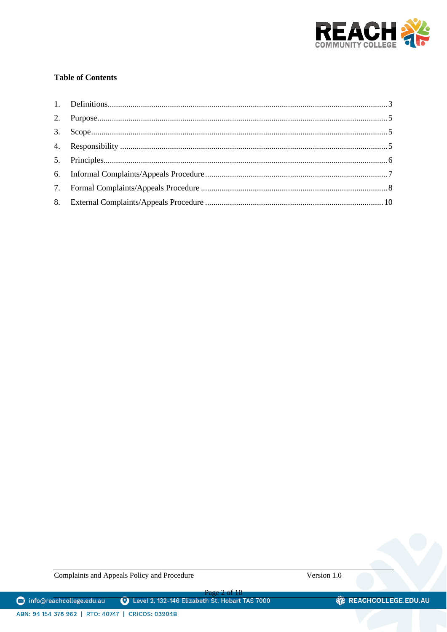

# **Table of Contents**

Complaints and Appeals Policy and Procedure

Version 1.0

Page 2 of 10<br>D Level 2, 132-146 Elizabeth St, Hobart TAS 7000 nfo@reachcollege.edu.au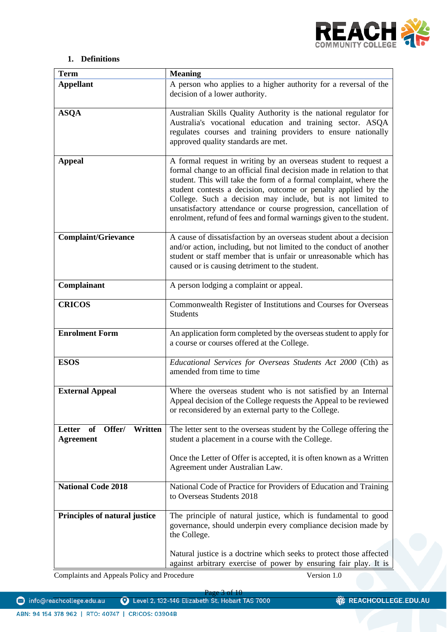

# **1. Definitions**

<span id="page-2-0"></span>

| <b>Term</b>                                           | <b>Meaning</b>                                                                                                                                                                                                                                                                                                                                                                                                                                                                           |
|-------------------------------------------------------|------------------------------------------------------------------------------------------------------------------------------------------------------------------------------------------------------------------------------------------------------------------------------------------------------------------------------------------------------------------------------------------------------------------------------------------------------------------------------------------|
| <b>Appellant</b>                                      | A person who applies to a higher authority for a reversal of the<br>decision of a lower authority.                                                                                                                                                                                                                                                                                                                                                                                       |
| <b>ASQA</b>                                           | Australian Skills Quality Authority is the national regulator for<br>Australia's vocational education and training sector. ASQA<br>regulates courses and training providers to ensure nationally<br>approved quality standards are met.                                                                                                                                                                                                                                                  |
| <b>Appeal</b>                                         | A formal request in writing by an overseas student to request a<br>formal change to an official final decision made in relation to that<br>student. This will take the form of a formal complaint, where the<br>student contests a decision, outcome or penalty applied by the<br>College. Such a decision may include, but is not limited to<br>unsatisfactory attendance or course progression, cancellation of<br>enrolment, refund of fees and formal warnings given to the student. |
| <b>Complaint/Grievance</b>                            | A cause of dissatisfaction by an overseas student about a decision<br>and/or action, including, but not limited to the conduct of another<br>student or staff member that is unfair or unreasonable which has<br>caused or is causing detriment to the student.                                                                                                                                                                                                                          |
| Complainant                                           | A person lodging a complaint or appeal.                                                                                                                                                                                                                                                                                                                                                                                                                                                  |
| <b>CRICOS</b>                                         | Commonwealth Register of Institutions and Courses for Overseas<br><b>Students</b>                                                                                                                                                                                                                                                                                                                                                                                                        |
| <b>Enrolment Form</b>                                 | An application form completed by the overseas student to apply for<br>a course or courses offered at the College.                                                                                                                                                                                                                                                                                                                                                                        |
| <b>ESOS</b>                                           | Educational Services for Overseas Students Act 2000 (Cth) as<br>amended from time to time                                                                                                                                                                                                                                                                                                                                                                                                |
| <b>External Appeal</b>                                | Where the overseas student who is not satisfied by an Internal<br>Appeal decision of the College requests the Appeal to be reviewed<br>or reconsidered by an external party to the College.                                                                                                                                                                                                                                                                                              |
| Offer/<br>Written<br>Letter<br>of<br><b>Agreement</b> | The letter sent to the overseas student by the College offering the<br>student a placement in a course with the College.                                                                                                                                                                                                                                                                                                                                                                 |
|                                                       | Once the Letter of Offer is accepted, it is often known as a Written<br>Agreement under Australian Law.                                                                                                                                                                                                                                                                                                                                                                                  |
| <b>National Code 2018</b>                             | National Code of Practice for Providers of Education and Training<br>to Overseas Students 2018                                                                                                                                                                                                                                                                                                                                                                                           |
| Principles of natural justice                         | The principle of natural justice, which is fundamental to good<br>governance, should underpin every compliance decision made by<br>the College.                                                                                                                                                                                                                                                                                                                                          |
|                                                       | Natural justice is a doctrine which seeks to protect those affected<br>against arbitrary exercise of power by ensuring fair play. It is                                                                                                                                                                                                                                                                                                                                                  |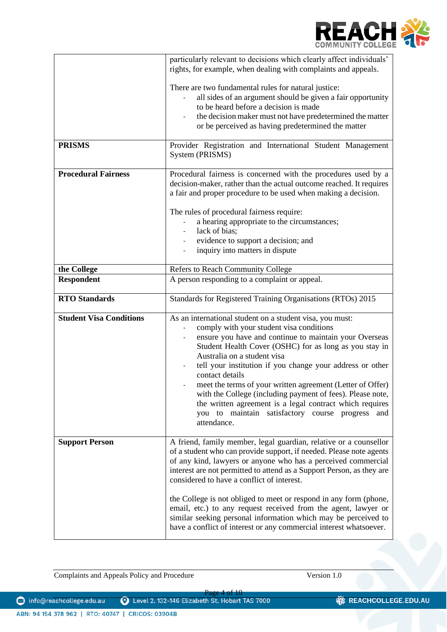

| <b>PRISMS</b>                  | particularly relevant to decisions which clearly affect individuals'<br>rights, for example, when dealing with complaints and appeals.<br>There are two fundamental rules for natural justice:<br>all sides of an argument should be given a fair opportunity<br>to be heard before a decision is made<br>the decision maker must not have predetermined the matter<br>or be perceived as having predetermined the matter<br>Provider Registration and International Student Management                                                                                                                         |
|--------------------------------|-----------------------------------------------------------------------------------------------------------------------------------------------------------------------------------------------------------------------------------------------------------------------------------------------------------------------------------------------------------------------------------------------------------------------------------------------------------------------------------------------------------------------------------------------------------------------------------------------------------------|
|                                | System (PRISMS)                                                                                                                                                                                                                                                                                                                                                                                                                                                                                                                                                                                                 |
| <b>Procedural Fairness</b>     | Procedural fairness is concerned with the procedures used by a<br>decision-maker, rather than the actual outcome reached. It requires<br>a fair and proper procedure to be used when making a decision.<br>The rules of procedural fairness require:<br>a hearing appropriate to the circumstances;<br>lack of bias;<br>evidence to support a decision; and<br>inquiry into matters in dispute                                                                                                                                                                                                                  |
| the College                    | Refers to Reach Community College                                                                                                                                                                                                                                                                                                                                                                                                                                                                                                                                                                               |
| <b>Respondent</b>              | A person responding to a complaint or appeal.                                                                                                                                                                                                                                                                                                                                                                                                                                                                                                                                                                   |
| <b>RTO Standards</b>           | Standards for Registered Training Organisations (RTOs) 2015                                                                                                                                                                                                                                                                                                                                                                                                                                                                                                                                                     |
| <b>Student Visa Conditions</b> | As an international student on a student visa, you must:<br>comply with your student visa conditions<br>ensure you have and continue to maintain your Overseas<br>Student Health Cover (OSHC) for as long as you stay in<br>Australia on a student visa<br>tell your institution if you change your address or other<br>contact details<br>meet the terms of your written agreement (Letter of Offer)<br>with the College (including payment of fees). Please note,<br>the written agreement is a legal contract which requires<br>you to maintain satisfactory course progress<br>and<br>attendance.           |
| <b>Support Person</b>          | A friend, family member, legal guardian, relative or a counsellor<br>of a student who can provide support, if needed. Please note agents<br>of any kind, lawyers or anyone who has a perceived commercial<br>interest are not permitted to attend as a Support Person, as they are<br>considered to have a conflict of interest.<br>the College is not obliged to meet or respond in any form (phone,<br>email, etc.) to any request received from the agent, lawyer or<br>similar seeking personal information which may be perceived to<br>have a conflict of interest or any commercial interest whatsoever. |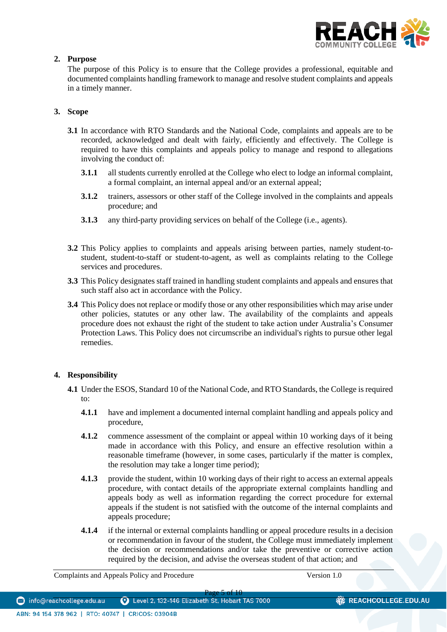

# <span id="page-4-0"></span>**2. Purpose**

The purpose of this Policy is to ensure that the College provides a professional, equitable and documented complaints handling framework to manage and resolve student complaints and appeals in a timely manner.

# <span id="page-4-1"></span>**3. Scope**

- **3.1** In accordance with RTO Standards and the National Code, complaints and appeals are to be recorded, acknowledged and dealt with fairly, efficiently and effectively. The College is required to have this complaints and appeals policy to manage and respond to allegations involving the conduct of:
	- **3.1.1** all students currently enrolled at the College who elect to lodge an informal complaint, a formal complaint, an internal appeal and/or an external appeal;
	- **3.1.2** trainers, assessors or other staff of the College involved in the complaints and appeals procedure; and
	- **3.1.3** any third-party providing services on behalf of the College (i.e., agents).
- **3.2** This Policy applies to complaints and appeals arising between parties, namely student-tostudent, student-to-staff or student-to-agent, as well as complaints relating to the College services and procedures.
- **3.3** This Policy designates staff trained in handling student complaints and appeals and ensures that such staff also act in accordance with the Policy.
- **3.4** This Policy does not replace or modify those or any other responsibilities which may arise under other policies, statutes or any other law. The availability of the complaints and appeals procedure does not exhaust the right of the student to take action under Australia's Consumer Protection Laws. This Policy does not circumscribe an individual's rights to pursue other legal remedies.

# <span id="page-4-2"></span>**4. Responsibility**

- **4.1** Under the ESOS, Standard 10 of the National Code, and RTO Standards, the College is required to:
	- **4.1.1** have and implement a documented internal complaint handling and appeals policy and procedure,
	- **4.1.2** commence assessment of the complaint or appeal within 10 working days of it being made in accordance with this Policy, and ensure an effective resolution within a reasonable timeframe (however, in some cases, particularly if the matter is complex, the resolution may take a longer time period);
	- **4.1.3** provide the student, within 10 working days of their right to access an external appeals procedure, with contact details of the appropriate external complaints handling and appeals body as well as information regarding the correct procedure for external appeals if the student is not satisfied with the outcome of the internal complaints and appeals procedure;
	- **4.1.4** if the internal or external complaints handling or appeal procedure results in a decision or recommendation in favour of the student, the College must immediately implement the decision or recommendations and/or take the preventive or corrective action required by the decision, and advise the overseas student of that action; and

Complaints and Appeals Policy and Procedure Version 1.0

**※ REACHCOLLEGE.EDU.AU**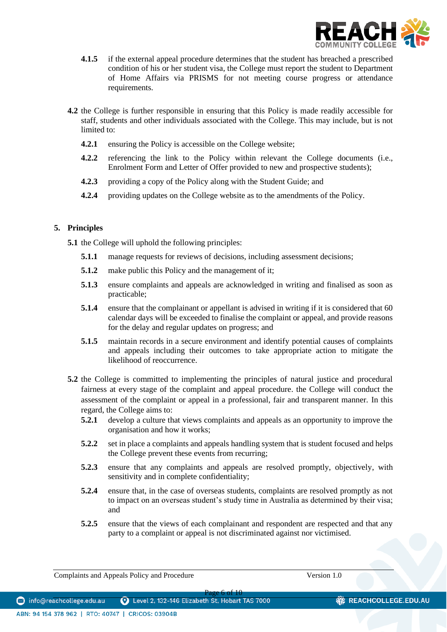

- **4.1.5** if the external appeal procedure determines that the student has breached a prescribed condition of his or her student visa, the College must report the student to Department of Home Affairs via PRISMS for not meeting course progress or attendance requirements.
- **4.2** the College is further responsible in ensuring that this Policy is made readily accessible for staff, students and other individuals associated with the College. This may include, but is not limited to:
	- **4.2.1** ensuring the Policy is accessible on the College website;
	- **4.2.2** referencing the link to the Policy within relevant the College documents (i.e., Enrolment Form and Letter of Offer provided to new and prospective students);
	- **4.2.3** providing a copy of the Policy along with the Student Guide; and
	- **4.2.4** providing updates on the College website as to the amendments of the Policy.

# <span id="page-5-0"></span>**5. Principles**

**5.1** the College will uphold the following principles:

- **5.1.1** manage requests for reviews of decisions, including assessment decisions;
- **5.1.2** make public this Policy and the management of it;
- **5.1.3** ensure complaints and appeals are acknowledged in writing and finalised as soon as practicable;
- **5.1.4** ensure that the complainant or appellant is advised in writing if it is considered that 60 calendar days will be exceeded to finalise the complaint or appeal, and provide reasons for the delay and regular updates on progress; and
- **5.1.5** maintain records in a secure environment and identify potential causes of complaints and appeals including their outcomes to take appropriate action to mitigate the likelihood of reoccurrence.
- **5.2** the College is committed to implementing the principles of natural justice and procedural fairness at every stage of the complaint and appeal procedure. the College will conduct the assessment of the complaint or appeal in a professional, fair and transparent manner. In this regard, the College aims to:
	- **5.2.1** develop a culture that views complaints and appeals as an opportunity to improve the organisation and how it works;
	- **5.2.2** set in place a complaints and appeals handling system that is student focused and helps the College prevent these events from recurring;
	- **5.2.3** ensure that any complaints and appeals are resolved promptly, objectively, with sensitivity and in complete confidentiality;
	- **5.2.4** ensure that, in the case of overseas students, complaints are resolved promptly as not to impact on an overseas student's study time in Australia as determined by their visa; and
	- **5.2.5** ensure that the views of each complainant and respondent are respected and that any party to a complaint or appeal is not discriminated against nor victimised.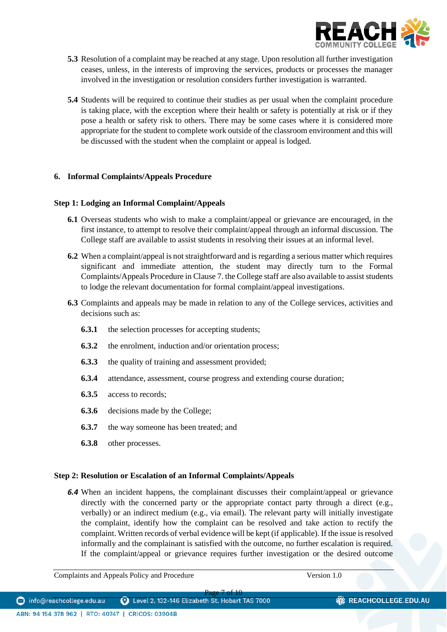

- **5.3** Resolution of a complaint may be reached at any stage. Upon resolution all further investigation ceases, unless, in the interests of improving the services, products or processes the manager involved in the investigation or resolution considers further investigation is warranted.
- **5.4** Students will be required to continue their studies as per usual when the complaint procedure is taking place, with the exception where their health or safety is potentially at risk or if they pose a health or safety risk to others. There may be some cases where it is considered more appropriate for the student to complete work outside of the classroom environment and this will be discussed with the student when the complaint or appeal is lodged.

# <span id="page-6-0"></span>**6. Informal Complaints/Appeals Procedure**

## **Step 1: Lodging an Informal Complaint/Appeals**

- **6.1** Overseas students who wish to make a complaint/appeal or grievance are encouraged, in the first instance, to attempt to resolve their complaint/appeal through an informal discussion. The College staff are available to assist students in resolving their issues at an informal level.
- **6.2** When a complaint/appeal is not straightforward and is regarding a serious matter which requires significant and immediate attention, the student may directly turn to the Formal Complaints/Appeals Procedure in Clause 7. the College staff are also available to assist students to lodge the relevant documentation for formal complaint/appeal investigations.
- **6.3** Complaints and appeals may be made in relation to any of the College services, activities and decisions such as:
	- **6.3.1** the selection processes for accepting students;
	- **6.3.2** the enrolment, induction and/or orientation process;
	- **6.3.3** the quality of training and assessment provided;
	- **6.3.4** attendance, assessment, course progress and extending course duration;
	- **6.3.5** access to records;
	- **6.3.6** decisions made by the College;
	- **6.3.7** the way someone has been treated; and
	- **6.3.8** other processes.

#### **Step 2: Resolution or Escalation of an Informal Complaints/Appeals**

*6.4* When an incident happens, the complainant discusses their complaint/appeal or grievance directly with the concerned party or the appropriate contact party through a direct (e.g., verbally) or an indirect medium (e.g., via email). The relevant party will initially investigate the complaint, identify how the complaint can be resolved and take action to rectify the complaint. Written records of verbal evidence will be kept (if applicable). If the issue is resolved informally and the complainant is satisfied with the outcome, no further escalation is required. If the complaint/appeal or grievance requires further investigation or the desired outcome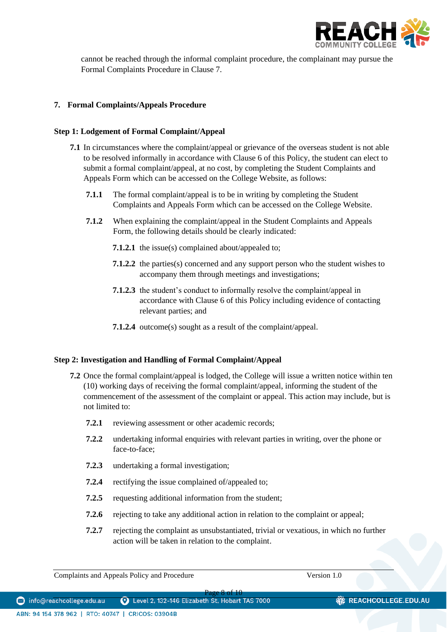

cannot be reached through the informal complaint procedure, the complainant may pursue the Formal Complaints Procedure in Clause 7.

# <span id="page-7-0"></span>**7. Formal Complaints/Appeals Procedure**

# **Step 1: Lodgement of Formal Complaint/Appeal**

- **7.1** In circumstances where the complaint/appeal or grievance of the overseas student is not able to be resolved informally in accordance with Clause 6 of this Policy, the student can elect to submit a formal complaint/appeal, at no cost, by completing the Student Complaints and Appeals Form which can be accessed on the College Website, as follows:
	- **7.1.1** The formal complaint/appeal is to be in writing by completing the Student Complaints and Appeals Form which can be accessed on the College Website.
	- **7.1.2** When explaining the complaint/appeal in the Student Complaints and Appeals Form, the following details should be clearly indicated:
		- **7.1.2.1** the issue(s) complained about/appealed to;
		- **7.1.2.2** the parties(s) concerned and any support person who the student wishes to accompany them through meetings and investigations;
		- **7.1.2.3** the student's conduct to informally resolve the complaint/appeal in accordance with Clause 6 of this Policy including evidence of contacting relevant parties; and
		- **7.1.2.4** outcome(s) sought as a result of the complaint/appeal.

# **Step 2: Investigation and Handling of Formal Complaint/Appeal**

- **7.2** Once the formal complaint/appeal is lodged, the College will issue a written notice within ten (10) working days of receiving the formal complaint/appeal, informing the student of the commencement of the assessment of the complaint or appeal. This action may include, but is not limited to:
	- **7.2.1** reviewing assessment or other academic records;
	- **7.2.2** undertaking informal enquiries with relevant parties in writing, over the phone or face-to-face;
	- **7.2.3** undertaking a formal investigation;
	- **7.2.4** rectifying the issue complained of/appealed to;
	- **7.2.5** requesting additional information from the student;
	- **7.2.6** rejecting to take any additional action in relation to the complaint or appeal;
	- **7.2.7** rejecting the complaint as unsubstantiated, trivial or vexatious, in which no further action will be taken in relation to the complaint.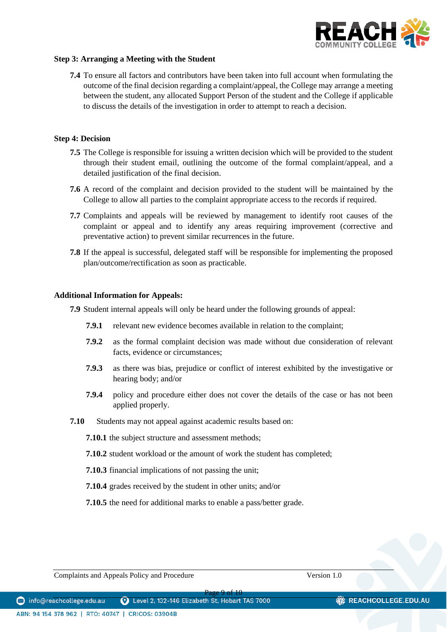

## **Step 3: Arranging a Meeting with the Student**

**7.4** To ensure all factors and contributors have been taken into full account when formulating the outcome of the final decision regarding a complaint/appeal, the College may arrange a meeting between the student, any allocated Support Person of the student and the College if applicable to discuss the details of the investigation in order to attempt to reach a decision.

## **Step 4: Decision**

- **7.5** The College is responsible for issuing a written decision which will be provided to the student through their student email, outlining the outcome of the formal complaint/appeal, and a detailed justification of the final decision.
- **7.6** A record of the complaint and decision provided to the student will be maintained by the College to allow all parties to the complaint appropriate access to the records if required.
- **7.7** Complaints and appeals will be reviewed by management to identify root causes of the complaint or appeal and to identify any areas requiring improvement (corrective and preventative action) to prevent similar recurrences in the future.
- **7.8** If the appeal is successful, delegated staff will be responsible for implementing the proposed plan/outcome/rectification as soon as practicable.

#### **Additional Information for Appeals:**

**7.9** Student internal appeals will only be heard under the following grounds of appeal:

- **7.9.1** relevant new evidence becomes available in relation to the complaint;
- **7.9.2** as the formal complaint decision was made without due consideration of relevant facts, evidence or circumstances;
- **7.9.3** as there was bias, prejudice or conflict of interest exhibited by the investigative or hearing body; and/or
- **7.9.4** policy and procedure either does not cover the details of the case or has not been applied properly.
- **7.10** Students may not appeal against academic results based on:
	- **7.10.1** the subject structure and assessment methods;
	- **7.10.2** student workload or the amount of work the student has completed;
	- **7.10.3** financial implications of not passing the unit;
	- **7.10.4** grades received by the student in other units; and/or
	- **7.10.5** the need for additional marks to enable a pass/better grade.